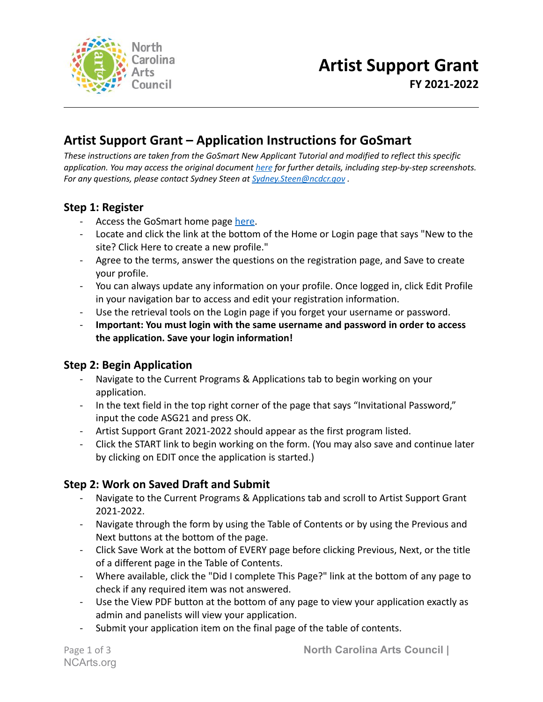

### **Artist Support Grant – Application Instructions for GoSmart**

*These instructions are taken from the GoSmart New Applicant Tutorial and modified to reflect this specific application. You may access the original document [here](http://gos-applicant-tutorial-november-2020-generic.docx) for further details, including step-by-step screenshots. For any questions, please contact Sydney Steen at [Sydney.Steen@ncdcr.gov](mailto:Sydney.Steen@ncdcr.gov) .*

#### **Step 1: Register**

- Access the GoSmart home page [here](https://ncarts.gosmart.org/).
- Locate and click the link at the bottom of the Home or Login page that says "New to the site? Click Here to create a new profile."
- Agree to the terms, answer the questions on the registration page, and Save to create your profile.
- You can always update any information on your profile. Once logged in, click Edit Profile in your navigation bar to access and edit your registration information.
- Use the retrieval tools on the Login page if you forget your username or password.
- **Important: You must login with the same username and password in order to access the application. Save your login information!**

#### **Step 2: Begin Application**

- Navigate to the Current Programs & Applications tab to begin working on your application.
- In the text field in the top right corner of the page that says "Invitational Password," input the code ASG21 and press OK.
- Artist Support Grant 2021-2022 should appear as the first program listed.
- Click the START link to begin working on the form. (You may also save and continue later by clicking on EDIT once the application is started.)

#### **Step 2: Work on Saved Draft and Submit**

- Navigate to the Current Programs & Applications tab and scroll to Artist Support Grant 2021-2022.
- Navigate through the form by using the Table of Contents or by using the Previous and Next buttons at the bottom of the page.
- Click Save Work at the bottom of EVERY page before clicking Previous, Next, or the title of a different page in the Table of Contents.
- Where available, click the "Did I complete This Page?" link at the bottom of any page to check if any required item was not answered.
- Use the View PDF button at the bottom of any page to view your application exactly as admin and panelists will view your application.
- Submit your application item on the final page of the table of contents.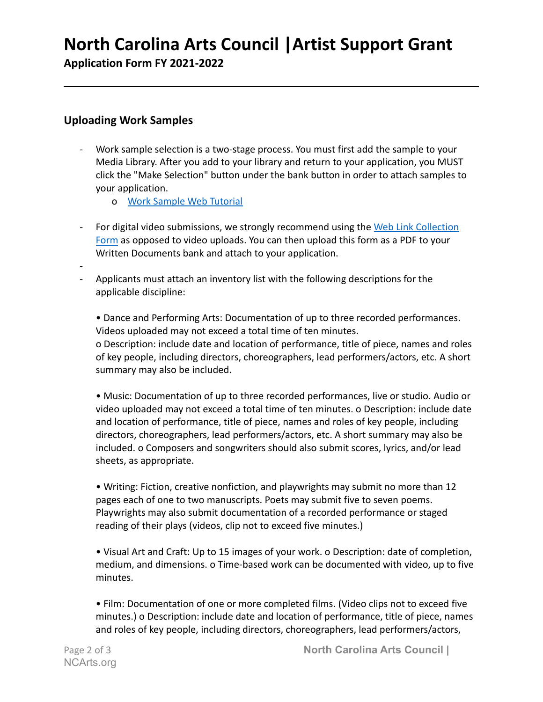# **North Carolina Arts Council |Artist Support Grant**

**Application Form FY 2021-2022**

#### **Uploading Work Samples**

- Work sample selection is a two-stage process. You must first add the sample to your Media Library. After you add to your library and return to your application, you MUST click the "Make Selection" button under the bank button in order to attach samples to your application.
	- o [Work Sample Web Tutorial](https://www.youtube.com/watch?v=Au5UTHCIH7M&list=PLqnUWEndFeHTp3lJv-fVtQtQ8SX3qEEqu)
- For digital video submissions, we strongly recommend using the [Web Link Collection](http://../Downloads/Web_Link_Collection_2021%20(1).doc) [Form](http://../Downloads/Web_Link_Collection_2021%20(1).doc) as opposed to video uploads. You can then upload this form as a PDF to your Written Documents bank and attach to your application.
- - Applicants must attach an inventory list with the following descriptions for the applicable discipline:

• Dance and Performing Arts: Documentation of up to three recorded performances. Videos uploaded may not exceed a total time of ten minutes. o Description: include date and location of performance, title of piece, names and roles of key people, including directors, choreographers, lead performers/actors, etc. A short

summary may also be included.

• Music: Documentation of up to three recorded performances, live or studio. Audio or video uploaded may not exceed a total time of ten minutes. o Description: include date and location of performance, title of piece, names and roles of key people, including directors, choreographers, lead performers/actors, etc. A short summary may also be included. o Composers and songwriters should also submit scores, lyrics, and/or lead sheets, as appropriate.

• Writing: Fiction, creative nonfiction, and playwrights may submit no more than 12 pages each of one to two manuscripts. Poets may submit five to seven poems. Playwrights may also submit documentation of a recorded performance or staged reading of their plays (videos, clip not to exceed five minutes.)

• Visual Art and Craft: Up to 15 images of your work. o Description: date of completion, medium, and dimensions. o Time-based work can be documented with video, up to five minutes.

• Film: Documentation of one or more completed films. (Video clips not to exceed five minutes.) o Description: include date and location of performance, title of piece, names and roles of key people, including directors, choreographers, lead performers/actors,